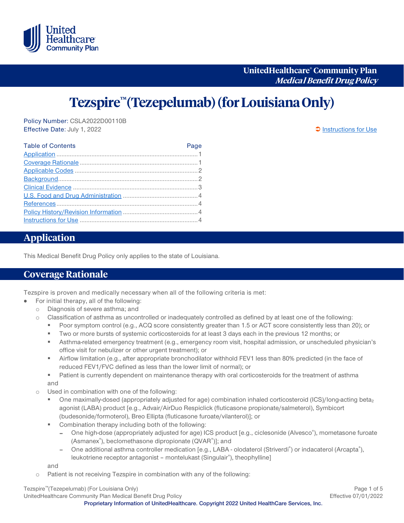

**UnitedHealthcare® Community Plan Medical Benefit DrugPolicy**

# **Tezspire™(Tezepelumab) (for Louisiana Only)**

Policy Number: CSLA2022D00110B Effective Date: July 1, 2022 **[Instructions for Use](#page-3-0)** 

| <b>Table of Contents</b> | Page |
|--------------------------|------|
|                          |      |
|                          |      |
|                          |      |
|                          |      |
|                          |      |
|                          |      |
|                          |      |
|                          |      |
|                          |      |
|                          |      |

### <span id="page-0-0"></span>**Application**

This Medical Benefit Drug Policy only applies to the state of Louisiana.

### <span id="page-0-1"></span>**Coverage Rationale**

Tezspire is proven and medically necessary when all of the following criteria is met:

- $\bullet$ For initial therapy, all of the following:
	- o Diagnosis of severe asthma; and
	- o Classification of asthma as uncontrolled or inadequately controlled as defined by at least one of the following:
		- Poor symptom control (e.g., ACQ score consistently greater than 1.5 or ACT score consistently less than 20); or
		- Two or more bursts of systemic corticosteroids for at least 3 days each in the previous 12 months; or
		- Asthma-related emergency treatment (e.g., emergency room visit, hospital admission, or unscheduled physician's office visit for nebulizer or other urgent treatment); or
		- Airflow limitation (e.g., after appropriate bronchodilator withhold FEV1 less than 80% predicted (in the face of reduced FEV1/FVC defined as less than the lower limit of normal); or
		- Patient is currently dependent on maintenance therapy with oral corticosteroids for the treatment of asthma and
	- o Used in combination with one of the following:
		- One maximally-dosed (appropriately adjusted for age) combination inhaled corticosteroid (ICS)/long-acting beta<sub>2</sub> agonist (LABA) product [e.g., Advair/AirDuo Respiclick (fluticasone propionate/salmeterol), Symbicort (budesonide/formoterol), Breo Ellipta (fluticasone furoate/vilanterol)]; or
		- Combination therapy including both of the following:
			- One high-dose (appropriately adjusted for age) ICS product [e.g., ciclesonide (Alvesco®), mometasone furoate (Asmanex®), beclomethasone dipropionate (QVAR®)]; and
			- One additional asthma controller medication [e.g., LABA olodaterol (Striverdi®) or indacaterol (Arcapta®), leukotriene receptor antagonist - montelukast (Singulair®), theophylline]

and

o Patient is not receiving Tezspire in combination with any of the following:

Tezspire™(Tezepelumab) (For Louisiana Only) Page 1 of 5 UnitedHealthcare Community Plan Medical Benefit Drug Policy **Effective 07/01/2022** 

**Proprietary Information of UnitedHealthcare. Copyright 2022 United HealthCare Services, Inc.**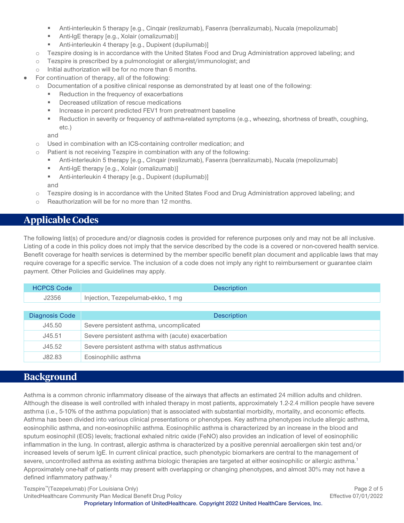- Anti-interleukin 5 therapy [e.g., Cinqair (reslizumab), Fasenra (benralizumab), Nucala (mepolizumab]
- **Anti-IgE therapy [e.g., Xolair (omalizumab)]**
- **Anti-interleukin 4 therapy [e.g., Dupixent (dupilumab)]**
- o Tezspire dosing is in accordance with the United States Food and Drug Administration approved labeling; and
- o Tezspire is prescribed by a pulmonologist or allergist/immunologist; and
- o Initial authorization will be for no more than 6 months.
- For continuation of therapy, all of the following:
	- o Documentation of a positive clinical response as demonstrated by at least one of the following:
		- Reduction in the frequency of exacerbations
		- **Decreased utilization of rescue medications**
		- **Increase in percent predicted FEV1 from pretreatment baseline**
		- Reduction in severity or frequency of asthma-related symptoms (e.g., wheezing, shortness of breath, coughing, etc.)

and

- o Used in combination with an ICS-containing controller medication; and
- o Patient is not receiving Tezspire in combination with any of the following:
	- Anti-interleukin 5 therapy [e.g., Cinqair (reslizumab), Fasenra (benralizumab), Nucala (mepolizumab]
	- **Anti-IgE therapy [e.g., Xolair (omalizumab)]**
	- Anti-interleukin 4 therapy [e.g., Dupixent (dupilumab)]

and

- o Tezspire dosing is in accordance with the United States Food and Drug Administration approved labeling; and
- o Reauthorization will be for no more than 12 months.

## <span id="page-1-0"></span>**Applicable Codes**

The following list(s) of procedure and/or diagnosis codes is provided for reference purposes only and may not be all inclusive. Listing of a code in this policy does not imply that the service described by the code is a covered or non-covered health service. Benefit coverage for health services is determined by the member specific benefit plan document and applicable laws that may require coverage for a specific service. The inclusion of a code does not imply any right to reimbursement or guarantee claim payment. Other Policies and Guidelines may apply.

| <b>HCPCS Code</b> | <b>Description</b>                                 |
|-------------------|----------------------------------------------------|
| J2356             | Injection, Tezepelumab-ekko, 1 mg                  |
|                   |                                                    |
| Diagnosis Code    | <b>Description</b>                                 |
| J45.50            | Severe persistent asthma, uncomplicated            |
| J45.51            | Severe persistent asthma with (acute) exacerbation |
| J45.52            | Severe persistent asthma with status asthmaticus   |
| J82.83            | Eosinophilic asthma                                |

## <span id="page-1-1"></span>**Background**

Asthma is a common chronic inflammatory disease of the airways that affects an estimated 24 million adults and children. Although the disease is well controlled with inhaled therapy in most patients, approximately 1.2-2.4 million people have severe asthma (i.e., 5-10% of the asthma population) that is associated with substantial morbidity, mortality, and economic effects. Asthma has been divided into various clinical presentations or phenotypes. Key asthma phenotypes include allergic asthma, eosinophilic asthma, and non-eosinophilic asthma. Eosinophilic asthma is characterized by an increase in the blood and sputum eosinophil (EOS) levels; fractional exhaled nitric oxide (FeNO) also provides an indication of level of eosinophilic inflammation in the lung. In contrast, allergic asthma is characterized by a positive perennial aeroallergen skin test and/or increased levels of serum IgE. In current clinical practice, such phenotypic biomarkers are central to the management of severe, uncontrolled asthma as existing asthma biologic therapies are targeted at either eosinophilic or allergic asthma. 1 Approximately one-half of patients may present with overlapping or changing phenotypes, and almost 30% may not have a defined inflammatory pathway.<sup>2</sup>

Tezspire™(Tezepelumab) (For Louisiana Only) Page 2 of 5 UnitedHealthcare Community Plan Medical Benefit Drug Policy **Effective 07/01/2022 Proprietary Information of UnitedHealthcare. Copyright 2022 United HealthCare Services, Inc.**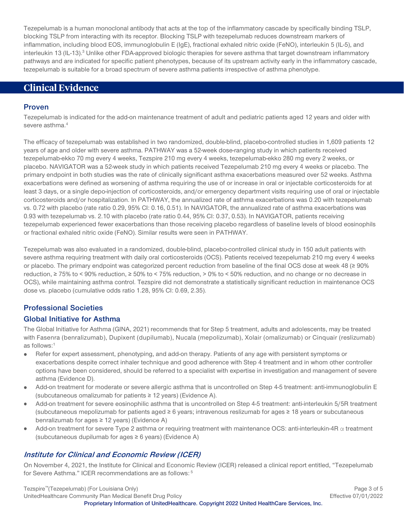Tezepelumab is a human monoclonal antibody that acts at the top of the inflammatory cascade by specifically binding TSLP, blocking TSLP from interacting with its receptor. Blocking TSLP with tezepelumab reduces downstream markers of inflammation, including blood EOS, immunoglobulin E (IgE), fractional exhaled nitric oxide (FeNO), interleukin 5 (IL-5), and interleukin 13 (IL-13).<sup>3</sup> Unlike other FDA-approved biologic therapies for severe asthma that target downstream inflammatory pathways and are indicated for specific patient phenotypes, because of its upstream activity early in the inflammatory cascade, tezepelumab is suitable for a broad spectrum of severe asthma patients irrespective of asthma phenotype.

### <span id="page-2-0"></span>**Clinical Evidence**

#### **Proven**

Tezepelumab is indicated for the add-on maintenance treatment of adult and pediatric patients aged 12 years and older with severe asthma.<sup>4</sup>

The efficacy of tezepelumab was established in two randomized, double-blind, placebo-controlled studies in 1,609 patients 12 years of age and older with severe asthma. PATHWAY was a 52-week dose-ranging study in which patients received tezepelumab-ekko 70 mg every 4 weeks, Tezspire 210 mg every 4 weeks, tezepelumab-ekko 280 mg every 2 weeks, or placebo. NAVIGATOR was a 52-week study in which patients received Tezepelumab 210 mg every 4 weeks or placebo. The primary endpoint in both studies was the rate of clinically significant asthma exacerbations measured over 52 weeks. Asthma exacerbations were defined as worsening of asthma requiring the use of or increase in oral or injectable corticosteroids for at least 3 days, or a single depo-injection of corticosteroids, and/or emergency department visits requiring use of oral or injectable corticosteroids and/or hospitalization. In PATHWAY, the annualized rate of asthma exacerbations was 0.20 with tezepelumab vs. 0.72 with placebo (rate ratio 0.29, 95% CI: 0.16, 0.51). In NAVIGATOR, the annualized rate of asthma exacerbations was 0.93 with tezepelumab vs. 2.10 with placebo (rate ratio 0.44, 95% CI: 0.37, 0.53). In NAVIGATOR, patients receiving tezepelumab experienced fewer exacerbations than those receiving placebo regardless of baseline levels of blood eosinophils or fractional exhaled nitric oxide (FeNO). Similar results were seen in PATHWAY.

Tezepelumab was also evaluated in a randomized, double-blind, placebo-controlled clinical study in 150 adult patients with severe asthma requiring treatment with daily oral corticosteroids (OCS). Patients received tezepelumab 210 mg every 4 weeks or placebo. The primary endpoint was categorized percent reduction from baseline of the final OCS dose at week 48 (≥ 90% reduction, ≥ 75% to < 90% reduction, ≥ 50% to < 75% reduction, > 0% to < 50% reduction, and no change or no decrease in OCS), while maintaining asthma control. Tezspire did not demonstrate a statistically significant reduction in maintenance OCS dose vs. placebo (cumulative odds ratio 1.28, 95% CI: 0.69, 2.35).

#### **Professional Societies**

#### **Global Initiative for Asthma**

The Global Initiative for Asthma (GINA, 2021) recommends that for Step 5 treatment, adults and adolescents, may be treated with Fasenra (benralizumab), Dupixent (dupilumab), Nucala (mepolizumab), Xolair (omalizumab) or Cinquair (reslizumab) as follows:1

- Refer for expert assessment, phenotyping, and add-on therapy. Patients of any age with persistent symptoms or exacerbations despite correct inhaler technique and good adherence with Step 4 treatment and in whom other controller options have been considered, should be referred to a specialist with expertise in investigation and management of severe asthma (Evidence D).
- Add-on treatment for moderate or severe allergic asthma that is uncontrolled on Step 4-5 treatment: anti-immunoglobulin E  $\bullet$ (subcutaneous omalizumab for patients ≥ 12 years) (Evidence A).
- Add-on treatment for severe eosinophilic asthma that is uncontrolled on Step 4-5 treatment: anti-interleukin 5/5R treatment (subcutaneous mepolizumab for patients aged ≥ 6 years; intravenous reslizumab for ages ≥ 18 years or subcutaneous benralizumab for ages ≥ 12 years) (Evidence A)
- Add-on treatment for severe Type 2 asthma or requiring treatment with maintenance OCS: anti-interleukin-4R  $\alpha$  treatment  $\bullet$ (subcutaneous dupilumab for ages ≥ 6 years) (Evidence A)

#### **Institute for Clinical and Economic Review (ICER)**

On November 4, 2021, the Institute for Clinical and Economic Review (ICER) released a clinical report entitled, "Tezepelumab for Severe Asthma." ICER recommendations are as follows: 5

Tezspire™(Tezepelumab) (For Louisiana Only) Page 3 of 5 UnitedHealthcare Community Plan Medical Benefit Drug Policy **Effective 07/01/2022 Proprietary Information of UnitedHealthcare. Copyright 2022 United HealthCare Services, Inc.**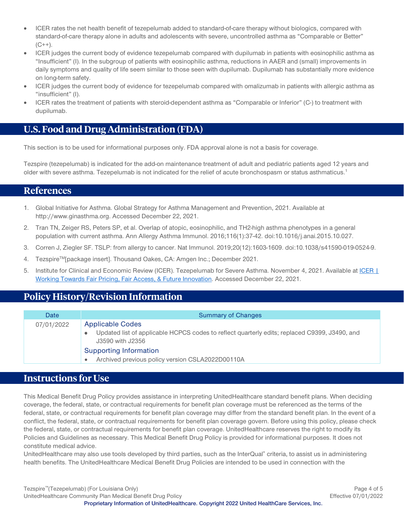- ICER rates the net health benefit of tezepelumab added to standard-of-care therapy without biologics, compared with standard-of-care therapy alone in adults and adolescents with severe, uncontrolled asthma as "Comparable or Better"  $(C^{++})$ .
- ICER judges the current body of evidence tezepelumab compared with dupilumab in patients with eosinophilic asthma as "Insufficient" (I). In the subgroup of patients with eosinophilic asthma, reductions in AAER and (small) improvements in daily symptoms and quality of life seem similar to those seen with dupilumab. Dupilumab has substantially more evidence on long-term safety.
- ICER judges the current body of evidence for tezepelumab compared with omalizumab in patients with allergic asthma as "insufficient" (I).
- ICER rates the treatment of patients with steroid-dependent asthma as "Comparable or Inferior" (C-) to treatment with dupilumab.

# <span id="page-3-1"></span>**U.S. Food and Drug Administration (FDA)**

This section is to be used for informational purposes only. FDA approval alone is not a basis for coverage.

Tezspire (tezepelumab) is indicated for the add-on maintenance treatment of adult and pediatric patients aged 12 years and older with severe asthma. Tezepelumab is not indicated for the relief of acute bronchospasm or status asthmaticus.1

### <span id="page-3-2"></span>**References**

- 1. Global Initiative for Asthma. Global Strategy for Asthma Management and Prevention, 2021. Available at http://www.ginasthma.org. Accessed December 22, 2021.
- 2. Tran TN, Zeiger RS, Peters SP, et al. Overlap of atopic, eosinophilic, and TH2-high asthma phenotypes in a general population with current asthma. Ann Allergy Asthma Immunol. 2016;116(1):37-42. doi:10.1016/j.anai.2015.10.027.
- 3. Corren J, Ziegler SF. TSLP: from allergy to cancer. Nat Immunol. 2019;20(12):1603-1609. doi:10.1038/s41590-019-0524-9.
- 4. TezspireTM[package insert]. Thousand Oakes, CA: Amgen Inc.; December 2021.
- 5. Institute for Clinical and Economic Review (ICER). Tezepelumab for Severe Asthma. November 4, 2021. Available at [ICER |](https://icer.org/)  [Working Towards Fair Pricing, Fair Access, & Future Innovation.](https://icer.org/) Accessed December 22, 2021.

# <span id="page-3-3"></span>**Policy History/Revision Information**

| Date       | <b>Summary of Changes</b>                                                                                                                    |
|------------|----------------------------------------------------------------------------------------------------------------------------------------------|
| 07/01/2022 | <b>Applicable Codes</b><br>Updated list of applicable HCPCS codes to reflect quarterly edits; replaced C9399, J3490, and<br>J3590 with J2356 |
|            | Supporting Information<br>Archived previous policy version CSLA2022D00110A                                                                   |

### <span id="page-3-0"></span>**Instructions for Use**

This Medical Benefit Drug Policy provides assistance in interpreting UnitedHealthcare standard benefit plans. When deciding coverage, the federal, state, or contractual requirements for benefit plan coverage must be referenced as the terms of the federal, state, or contractual requirements for benefit plan coverage may differ from the standard benefit plan. In the event of a conflict, the federal, state, or contractual requirements for benefit plan coverage govern. Before using this policy, please check the federal, state, or contractual requirements for benefit plan coverage. UnitedHealthcare reserves the right to modify its Policies and Guidelines as necessary. This Medical Benefit Drug Policy is provided for informational purposes. It does not constitute medical advice.

UnitedHealthcare may also use tools developed by third parties, such as the InterQual® criteria, to assist us in administering health benefits. The UnitedHealthcare Medical Benefit Drug Policies are intended to be used in connection with the